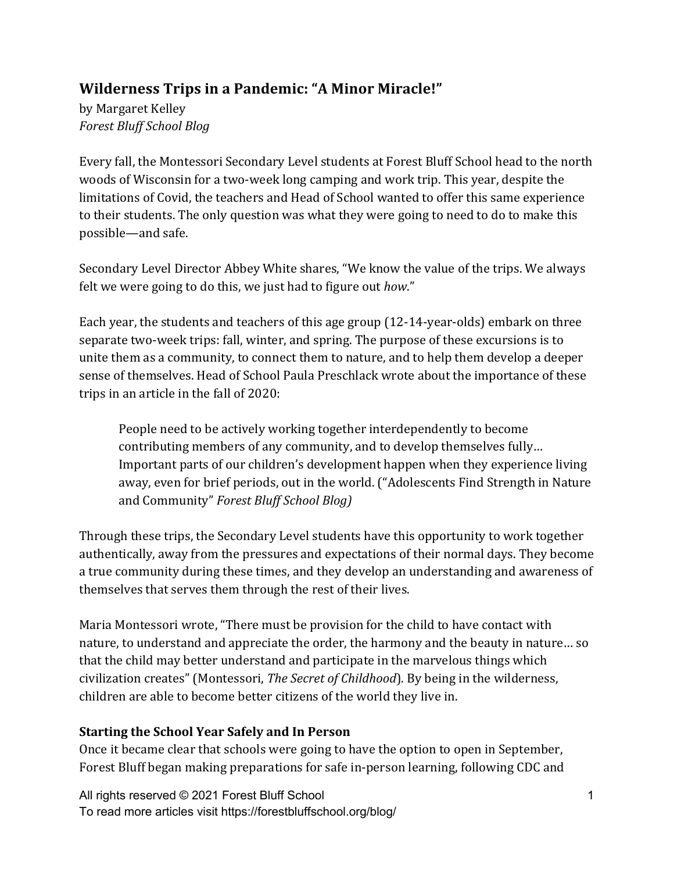# **Wilderness Trips in a Pandemic: "A Minor Miracle!"**

by Margaret Kelley *Forest Bluff School Blog*

Every fall, the Montessori Secondary Level students at Forest Bluff School head to the north woods of Wisconsin for a two-week long camping and work trip. This year, despite the limitations of Covid, the teachers and Head of School wanted to offer this same experience to their students. The only question was what they were going to need to do to make this possible—and safe.

Secondary Level Director Abbey White shares, "We know the value of the trips. We always felt we were going to do this, we just had to figure out *how*."

Each year, the students and teachers of this age group  $(12-14$ -year-olds) embark on three separate two-week trips: fall, winter, and spring. The purpose of these excursions is to unite them as a community, to connect them to nature, and to help them develop a deeper sense of themselves. Head of School Paula Preschlack wrote about the importance of these trips in an article in the fall of 2020:

People need to be actively working together interdependently to become contributing members of any community, and to develop themselves fully... Important parts of our children's development happen when they experience living away, even for brief periods, out in the world. ("Adolescents Find Strength in Nature and Community" Forest Bluff School Blog)

Through these trips, the Secondary Level students have this opportunity to work together authentically, away from the pressures and expectations of their normal days. They become a true community during these times, and they develop an understanding and awareness of themselves that serves them through the rest of their lives.

Maria Montessori wrote, "There must be provision for the child to have contact with nature, to understand and appreciate the order, the harmony and the beauty in nature... so that the child may better understand and participate in the marvelous things which civilization creates" (Montessori, *The Secret of Childhood*). By being in the wilderness, children are able to become better citizens of the world they live in.

# **Starting the School Year Safely and In Person**

Once it became clear that schools were going to have the option to open in September, Forest Bluff began making preparations for safe in-person learning, following CDC and

All rights reserved © 2021 Forest Bluff School To read more articles visit https://forestbluffschool.org/blog/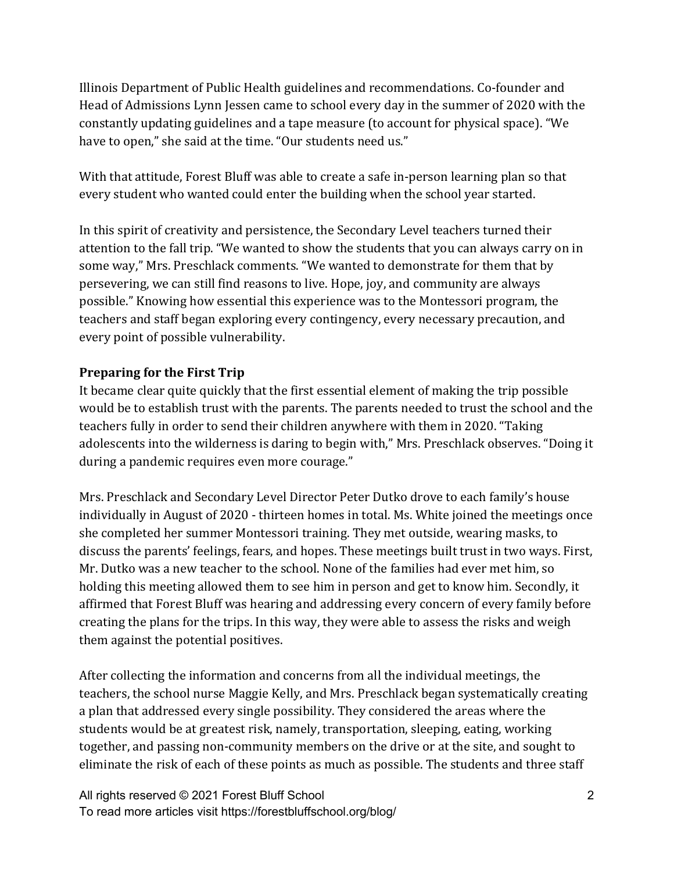Illinois Department of Public Health guidelines and recommendations. Co-founder and Head of Admissions Lynn Jessen came to school every day in the summer of 2020 with the constantly updating guidelines and a tape measure (to account for physical space). "We have to open," she said at the time. "Our students need us."

With that attitude, Forest Bluff was able to create a safe in-person learning plan so that every student who wanted could enter the building when the school year started.

In this spirit of creativity and persistence, the Secondary Level teachers turned their attention to the fall trip. "We wanted to show the students that you can always carry on in some way," Mrs. Preschlack comments. "We wanted to demonstrate for them that by persevering, we can still find reasons to live. Hope, joy, and community are always possible." Knowing how essential this experience was to the Montessori program, the teachers and staff began exploring every contingency, every necessary precaution, and every point of possible vulnerability.

#### **Preparing for the First Trip**

It became clear quite quickly that the first essential element of making the trip possible would be to establish trust with the parents. The parents needed to trust the school and the teachers fully in order to send their children anywhere with them in 2020. "Taking adolescents into the wilderness is daring to begin with," Mrs. Preschlack observes. "Doing it during a pandemic requires even more courage."

Mrs. Preschlack and Secondary Level Director Peter Dutko drove to each family's house individually in August of 2020 - thirteen homes in total. Ms. White joined the meetings once she completed her summer Montessori training. They met outside, wearing masks, to discuss the parents' feelings, fears, and hopes. These meetings built trust in two ways. First, Mr. Dutko was a new teacher to the school. None of the families had ever met him, so holding this meeting allowed them to see him in person and get to know him. Secondly, it affirmed that Forest Bluff was hearing and addressing every concern of every family before creating the plans for the trips. In this way, they were able to assess the risks and weigh them against the potential positives.

After collecting the information and concerns from all the individual meetings, the teachers, the school nurse Maggie Kelly, and Mrs. Preschlack began systematically creating a plan that addressed every single possibility. They considered the areas where the students would be at greatest risk, namely, transportation, sleeping, eating, working together, and passing non-community members on the drive or at the site, and sought to eliminate the risk of each of these points as much as possible. The students and three staff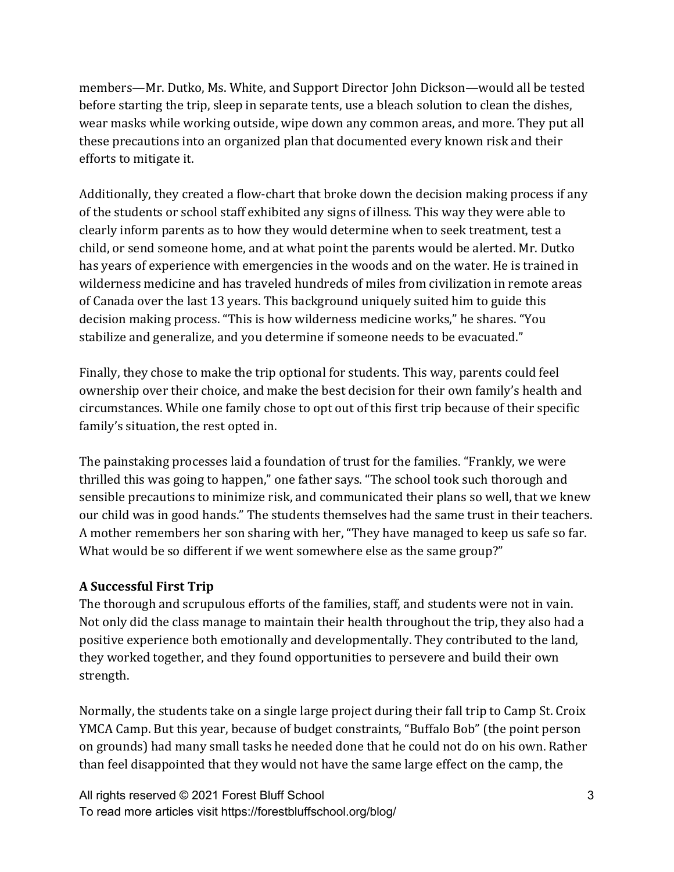members—Mr. Dutko, Ms. White, and Support Director John Dickson—would all be tested before starting the trip, sleep in separate tents, use a bleach solution to clean the dishes, wear masks while working outside, wipe down any common areas, and more. They put all these precautions into an organized plan that documented every known risk and their efforts to mitigate it.

Additionally, they created a flow-chart that broke down the decision making process if any of the students or school staff exhibited any signs of illness. This way they were able to clearly inform parents as to how they would determine when to seek treatment, test a child, or send someone home, and at what point the parents would be alerted. Mr. Dutko has years of experience with emergencies in the woods and on the water. He is trained in wilderness medicine and has traveled hundreds of miles from civilization in remote areas of Canada over the last 13 years. This background uniquely suited him to guide this decision making process. "This is how wilderness medicine works," he shares. "You stabilize and generalize, and you determine if someone needs to be evacuated."

Finally, they chose to make the trip optional for students. This way, parents could feel ownership over their choice, and make the best decision for their own family's health and circumstances. While one family chose to opt out of this first trip because of their specific family's situation, the rest opted in.

The painstaking processes laid a foundation of trust for the families. "Frankly, we were thrilled this was going to happen," one father says. "The school took such thorough and sensible precautions to minimize risk, and communicated their plans so well, that we knew our child was in good hands." The students themselves had the same trust in their teachers. A mother remembers her son sharing with her, "They have managed to keep us safe so far. What would be so different if we went somewhere else as the same group?"

#### **A Successful First Trip**

The thorough and scrupulous efforts of the families, staff, and students were not in vain. Not only did the class manage to maintain their health throughout the trip, they also had a positive experience both emotionally and developmentally. They contributed to the land, they worked together, and they found opportunities to persevere and build their own strength. 

Normally, the students take on a single large project during their fall trip to Camp St. Croix YMCA Camp. But this year, because of budget constraints, "Buffalo Bob" (the point person on grounds) had many small tasks he needed done that he could not do on his own. Rather than feel disappointed that they would not have the same large effect on the camp, the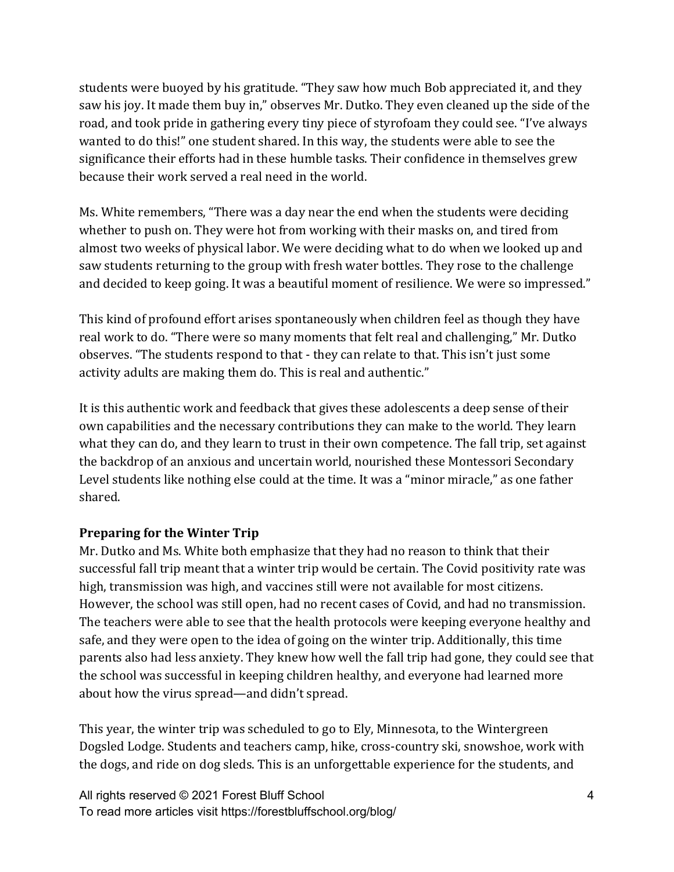students were buoyed by his gratitude. "They saw how much Bob appreciated it, and they saw his joy. It made them buy in," observes Mr. Dutko. They even cleaned up the side of the road, and took pride in gathering every tiny piece of styrofoam they could see. "I've always wanted to do this!" one student shared. In this way, the students were able to see the significance their efforts had in these humble tasks. Their confidence in themselves grew because their work served a real need in the world.

Ms. White remembers, "There was a day near the end when the students were deciding whether to push on. They were hot from working with their masks on, and tired from almost two weeks of physical labor. We were deciding what to do when we looked up and saw students returning to the group with fresh water bottles. They rose to the challenge and decided to keep going. It was a beautiful moment of resilience. We were so impressed."

This kind of profound effort arises spontaneously when children feel as though they have real work to do. "There were so many moments that felt real and challenging," Mr. Dutko observes. "The students respond to that - they can relate to that. This isn't just some activity adults are making them do. This is real and authentic."

It is this authentic work and feedback that gives these adolescents a deep sense of their own capabilities and the necessary contributions they can make to the world. They learn what they can do, and they learn to trust in their own competence. The fall trip, set against the backdrop of an anxious and uncertain world, nourished these Montessori Secondary Level students like nothing else could at the time. It was a "minor miracle," as one father shared. 

#### **Preparing for the Winter Trip**

Mr. Dutko and Ms. White both emphasize that they had no reason to think that their successful fall trip meant that a winter trip would be certain. The Covid positivity rate was high, transmission was high, and vaccines still were not available for most citizens. However, the school was still open, had no recent cases of Covid, and had no transmission. The teachers were able to see that the health protocols were keeping everyone healthy and safe, and they were open to the idea of going on the winter trip. Additionally, this time parents also had less anxiety. They knew how well the fall trip had gone, they could see that the school was successful in keeping children healthy, and everyone had learned more about how the virus spread—and didn't spread.

This year, the winter trip was scheduled to go to Ely, Minnesota, to the Wintergreen Dogsled Lodge. Students and teachers camp, hike, cross-country ski, snowshoe, work with the dogs, and ride on dog sleds. This is an unforgettable experience for the students, and

All rights reserved © 2021 Forest Bluff School To read more articles visit https://forestbluffschool.org/blog/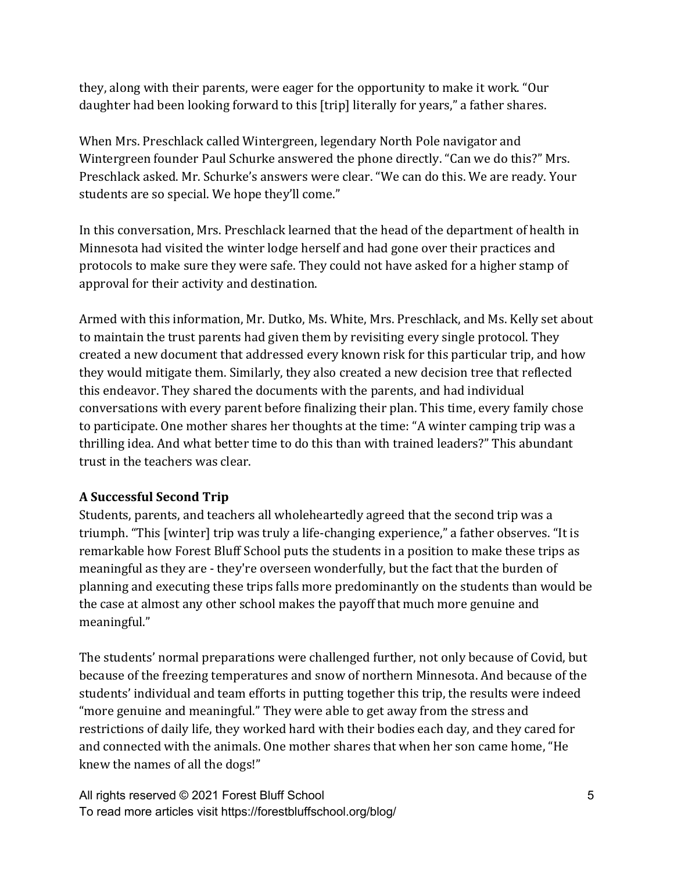they, along with their parents, were eager for the opportunity to make it work. "Our daughter had been looking forward to this [trip] literally for years," a father shares.

When Mrs. Preschlack called Wintergreen, legendary North Pole navigator and Wintergreen founder Paul Schurke answered the phone directly. "Can we do this?" Mrs. Preschlack asked. Mr. Schurke's answers were clear. "We can do this. We are ready. Your students are so special. We hope they'll come."

In this conversation, Mrs. Preschlack learned that the head of the department of health in Minnesota had visited the winter lodge herself and had gone over their practices and protocols to make sure they were safe. They could not have asked for a higher stamp of approval for their activity and destination.

Armed with this information, Mr. Dutko, Ms. White, Mrs. Preschlack, and Ms. Kelly set about to maintain the trust parents had given them by revisiting every single protocol. They created a new document that addressed every known risk for this particular trip, and how they would mitigate them. Similarly, they also created a new decision tree that reflected this endeavor. They shared the documents with the parents, and had individual conversations with every parent before finalizing their plan. This time, every family chose to participate. One mother shares her thoughts at the time: "A winter camping trip was a thrilling idea. And what better time to do this than with trained leaders?" This abundant trust in the teachers was clear.

# **A Successful Second Trip**

Students, parents, and teachers all wholeheartedly agreed that the second trip was a triumph. "This [winter] trip was truly a life-changing experience," a father observes. "It is remarkable how Forest Bluff School puts the students in a position to make these trips as meaningful as they are - they're overseen wonderfully, but the fact that the burden of planning and executing these trips falls more predominantly on the students than would be the case at almost any other school makes the payoff that much more genuine and meaningful."

The students' normal preparations were challenged further, not only because of Covid, but because of the freezing temperatures and snow of northern Minnesota. And because of the students' individual and team efforts in putting together this trip, the results were indeed "more genuine and meaningful." They were able to get away from the stress and restrictions of daily life, they worked hard with their bodies each day, and they cared for and connected with the animals. One mother shares that when her son came home, "He knew the names of all the dogs!"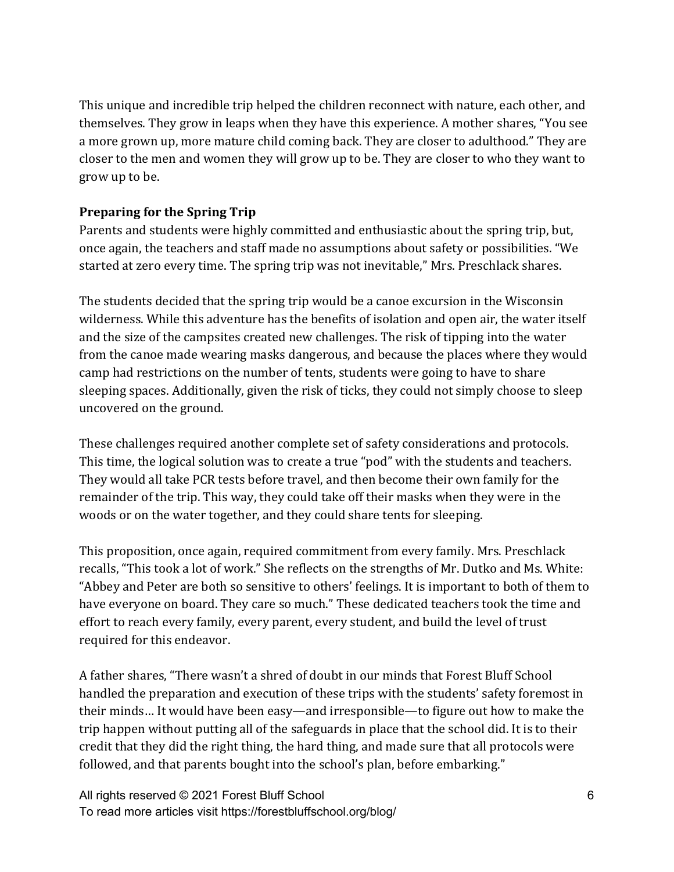This unique and incredible trip helped the children reconnect with nature, each other, and themselves. They grow in leaps when they have this experience. A mother shares, "You see a more grown up, more mature child coming back. They are closer to adulthood." They are closer to the men and women they will grow up to be. They are closer to who they want to grow up to be.

## **Preparing for the Spring Trip**

Parents and students were highly committed and enthusiastic about the spring trip, but, once again, the teachers and staff made no assumptions about safety or possibilities. "We started at zero every time. The spring trip was not inevitable," Mrs. Preschlack shares.

The students decided that the spring trip would be a canoe excursion in the Wisconsin wilderness. While this adventure has the benefits of isolation and open air, the water itself and the size of the campsites created new challenges. The risk of tipping into the water from the canoe made wearing masks dangerous, and because the places where they would camp had restrictions on the number of tents, students were going to have to share sleeping spaces. Additionally, given the risk of ticks, they could not simply choose to sleep uncovered on the ground.

These challenges required another complete set of safety considerations and protocols. This time, the logical solution was to create a true "pod" with the students and teachers. They would all take PCR tests before travel, and then become their own family for the remainder of the trip. This way, they could take off their masks when they were in the woods or on the water together, and they could share tents for sleeping.

This proposition, once again, required commitment from every family. Mrs. Preschlack recalls, "This took a lot of work." She reflects on the strengths of Mr. Dutko and Ms. White: "Abbey and Peter are both so sensitive to others' feelings. It is important to both of them to have everyone on board. They care so much." These dedicated teachers took the time and effort to reach every family, every parent, every student, and build the level of trust required for this endeavor.

A father shares, "There wasn't a shred of doubt in our minds that Forest Bluff School handled the preparation and execution of these trips with the students' safety foremost in their minds... It would have been easy—and irresponsible—to figure out how to make the trip happen without putting all of the safeguards in place that the school did. It is to their credit that they did the right thing, the hard thing, and made sure that all protocols were followed, and that parents bought into the school's plan, before embarking."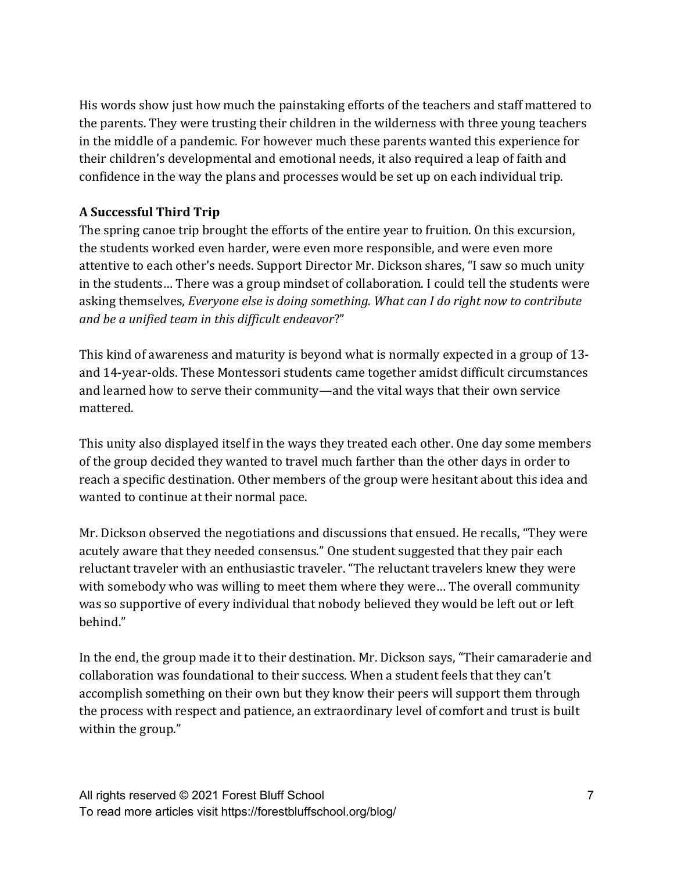His words show just how much the painstaking efforts of the teachers and staff mattered to the parents. They were trusting their children in the wilderness with three young teachers in the middle of a pandemic. For however much these parents wanted this experience for their children's developmental and emotional needs, it also required a leap of faith and confidence in the way the plans and processes would be set up on each individual trip.

## **A Successful Third Trip**

The spring canoe trip brought the efforts of the entire year to fruition. On this excursion, the students worked even harder, were even more responsible, and were even more attentive to each other's needs. Support Director Mr. Dickson shares, "I saw so much unity in the students... There was a group mindset of collaboration. I could tell the students were asking themselves, *Everyone else is doing something. What can I do right now to contribute and be a unified team in this difficult endeavor*?" 

This kind of awareness and maturity is beyond what is normally expected in a group of 13and 14-year-olds. These Montessori students came together amidst difficult circumstances and learned how to serve their community—and the vital ways that their own service mattered. 

This unity also displayed itself in the ways they treated each other. One day some members of the group decided they wanted to travel much farther than the other days in order to reach a specific destination. Other members of the group were hesitant about this idea and wanted to continue at their normal pace.

Mr. Dickson observed the negotiations and discussions that ensued. He recalls, "They were acutely aware that they needed consensus." One student suggested that they pair each reluctant traveler with an enthusiastic traveler. "The reluctant travelers knew they were with somebody who was willing to meet them where they were... The overall community was so supportive of every individual that nobody believed they would be left out or left behind." 

In the end, the group made it to their destination. Mr. Dickson says, "Their camaraderie and collaboration was foundational to their success. When a student feels that they can't accomplish something on their own but they know their peers will support them through the process with respect and patience, an extraordinary level of comfort and trust is built within the group."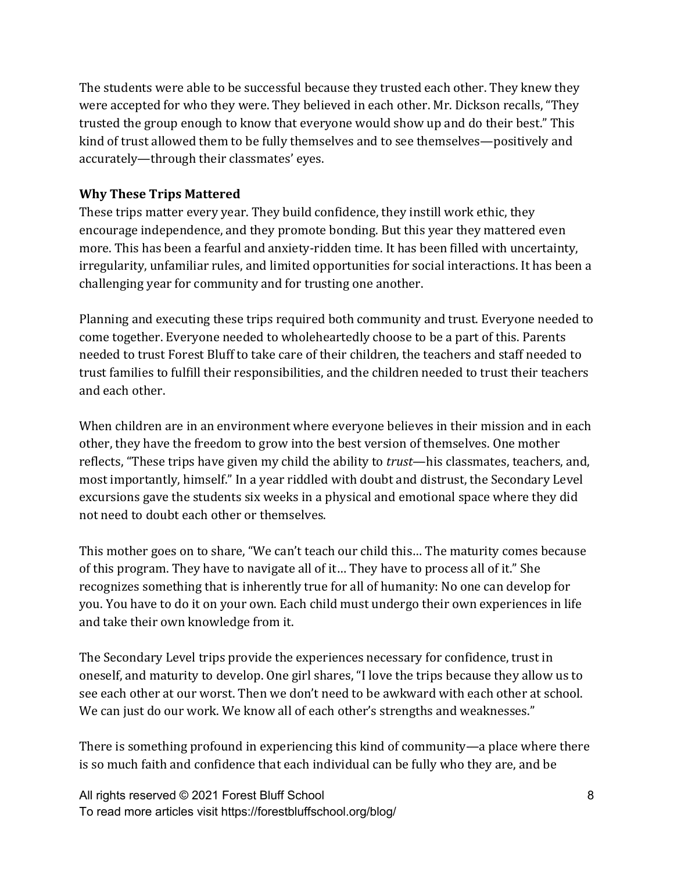The students were able to be successful because they trusted each other. They knew they were accepted for who they were. They believed in each other. Mr. Dickson recalls, "They trusted the group enough to know that everyone would show up and do their best." This kind of trust allowed them to be fully themselves and to see themselves—positively and accurately—through their classmates' eyes.

#### **Why These Trips Mattered**

These trips matter every year. They build confidence, they instill work ethic, they encourage independence, and they promote bonding. But this year they mattered even more. This has been a fearful and anxiety-ridden time. It has been filled with uncertainty, irregularity, unfamiliar rules, and limited opportunities for social interactions. It has been a challenging year for community and for trusting one another.

Planning and executing these trips required both community and trust. Everyone needed to come together. Everyone needed to wholeheartedly choose to be a part of this. Parents needed to trust Forest Bluff to take care of their children, the teachers and staff needed to trust families to fulfill their responsibilities, and the children needed to trust their teachers and each other. 

When children are in an environment where everyone believes in their mission and in each other, they have the freedom to grow into the best version of themselves. One mother reflects, "These trips have given my child the ability to *trust*—his classmates, teachers, and, most importantly, himself." In a year riddled with doubt and distrust, the Secondary Level excursions gave the students six weeks in a physical and emotional space where they did not need to doubt each other or themselves.

This mother goes on to share, "We can't teach our child this... The maturity comes because of this program. They have to navigate all of it... They have to process all of it." She recognizes something that is inherently true for all of humanity: No one can develop for you. You have to do it on your own. Each child must undergo their own experiences in life and take their own knowledge from it.

The Secondary Level trips provide the experiences necessary for confidence, trust in oneself, and maturity to develop. One girl shares, "I love the trips because they allow us to see each other at our worst. Then we don't need to be awkward with each other at school. We can just do our work. We know all of each other's strengths and weaknesses."

There is something profound in experiencing this kind of community—a place where there is so much faith and confidence that each individual can be fully who they are, and be

All rights reserved © 2021 Forest Bluff School To read more articles visit https://forestbluffschool.org/blog/